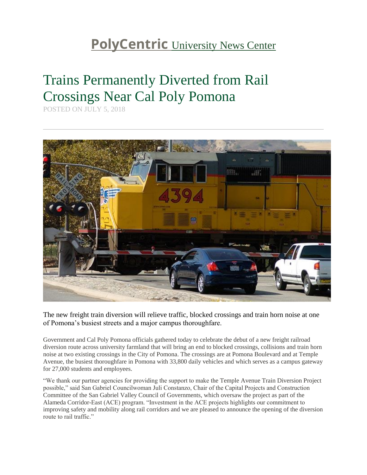## **PolyCentric** [University News Center](http://polycentric.cpp.edu/)

## Trains Permanently Diverted from Rail Crossings Near Cal Poly Pomona

POSTED ON JULY 5, 2018



The new freight train diversion will relieve traffic, blocked crossings and train horn noise at one of Pomona's busiest streets and a major campus thoroughfare.

Government and Cal Poly Pomona officials gathered today to celebrate the debut of a new freight railroad diversion route across university farmland that will bring an end to blocked crossings, collisions and train horn noise at two existing crossings in the City of Pomona. The crossings are at Pomona Boulevard and at Temple Avenue, the busiest thoroughfare in Pomona with 33,800 daily vehicles and which serves as a campus gateway for 27,000 students and employees.

"We thank our partner agencies for providing the support to make the Temple Avenue Train Diversion Project possible," said San Gabriel Councilwoman Juli Constanzo, Chair of the Capital Projects and Construction Committee of the San Gabriel Valley Council of Governments, which oversaw the project as part of the Alameda Corridor-East (ACE) program. "Investment in the ACE projects highlights our commitment to improving safety and mobility along rail corridors and we are pleased to announce the opening of the diversion route to rail traffic."